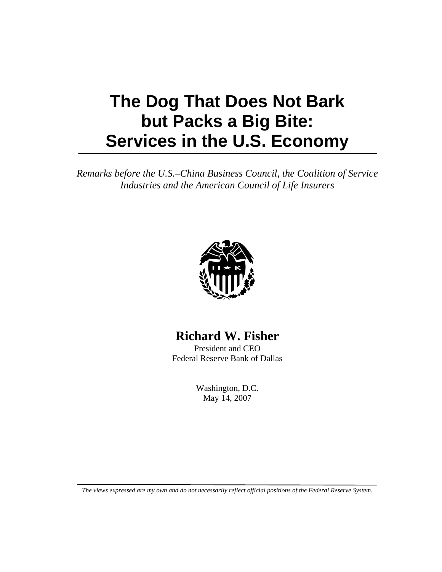## **The Dog That Does Not Bark but Packs a Big Bite: Services in the U.S. Economy**

*Remarks before the U.S.–China Business Council, the Coalition of Service Industries and the American Council of Life Insurers*



## **Richard W. Fisher**

President and CEO Federal Reserve Bank of Dallas

> Washington, D.C. May 14, 2007

*The views expressed are my own and do not necessarily reflect official positions of the Federal Reserve System.*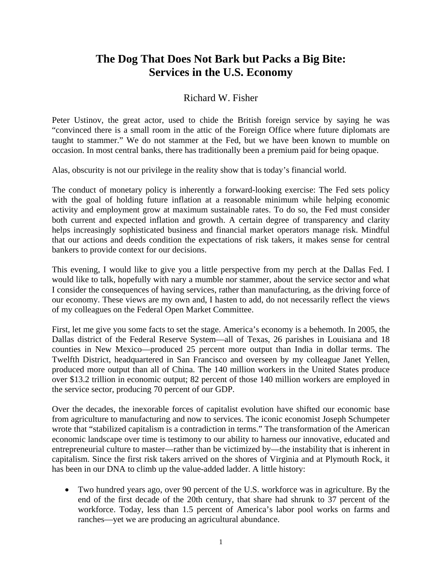## **The Dog That Does Not Bark but Packs a Big Bite: Services in the U.S. Economy**

## Richard W. Fisher

Peter Ustinov, the great actor, used to chide the British foreign service by saying he was "convinced there is a small room in the attic of the Foreign Office where future diplomats are taught to stammer." We do not stammer at the Fed, but we have been known to mumble on occasion. In most central banks, there has traditionally been a premium paid for being opaque.

Alas, obscurity is not our privilege in the reality show that is today's financial world.

The conduct of monetary policy is inherently a forward-looking exercise: The Fed sets policy with the goal of holding future inflation at a reasonable minimum while helping economic activity and employment grow at maximum sustainable rates. To do so, the Fed must consider both current and expected inflation and growth. A certain degree of transparency and clarity helps increasingly sophisticated business and financial market operators manage risk. Mindful that our actions and deeds condition the expectations of risk takers, it makes sense for central bankers to provide context for our decisions.

This evening, I would like to give you a little perspective from my perch at the Dallas Fed. I would like to talk, hopefully with nary a mumble nor stammer, about the service sector and what I consider the consequences of having services, rather than manufacturing, as the driving force of our economy. These views are my own and, I hasten to add, do not necessarily reflect the views of my colleagues on the Federal Open Market Committee.

First, let me give you some facts to set the stage. America's economy is a behemoth. In 2005, the Dallas district of the Federal Reserve System—all of Texas, 26 parishes in Louisiana and 18 counties in New Mexico—produced 25 percent more output than India in dollar terms. The Twelfth District, headquartered in San Francisco and overseen by my colleague Janet Yellen, produced more output than all of China. The 140 million workers in the United States produce over \$13.2 trillion in economic output; 82 percent of those 140 million workers are employed in the service sector, producing 70 percent of our GDP.

Over the decades, the inexorable forces of capitalist evolution have shifted our economic base from agriculture to manufacturing and now to services. The iconic economist Joseph Schumpeter wrote that "stabilized capitalism is a contradiction in terms." The transformation of the American economic landscape over time is testimony to our ability to harness our innovative, educated and entrepreneurial culture to master—rather than be victimized by—the instability that is inherent in capitalism. Since the first risk takers arrived on the shores of Virginia and at Plymouth Rock, it has been in our DNA to climb up the value-added ladder. A little history:

• Two hundred years ago, over 90 percent of the U.S. workforce was in agriculture. By the end of the first decade of the 20th century, that share had shrunk to 37 percent of the workforce. Today, less than 1.5 percent of America's labor pool works on farms and ranches—yet we are producing an agricultural abundance.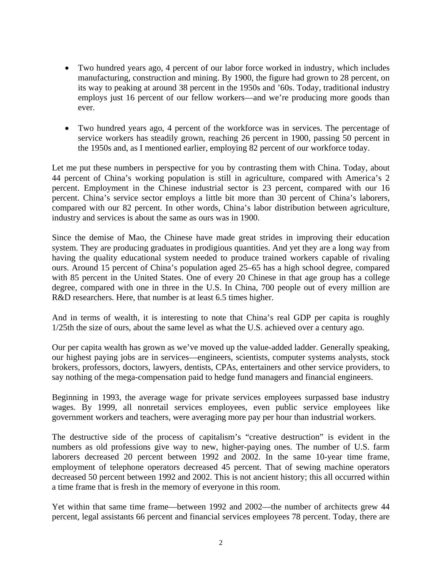- Two hundred years ago, 4 percent of our labor force worked in industry, which includes manufacturing, construction and mining. By 1900, the figure had grown to 28 percent, on its way to peaking at around 38 percent in the 1950s and '60s. Today, traditional industry employs just 16 percent of our fellow workers—and we're producing more goods than ever.
- Two hundred years ago, 4 percent of the workforce was in services. The percentage of service workers has steadily grown, reaching 26 percent in 1900, passing 50 percent in the 1950s and, as I mentioned earlier, employing 82 percent of our workforce today.

Let me put these numbers in perspective for you by contrasting them with China. Today, about 44 percent of China's working population is still in agriculture, compared with America's 2 percent. Employment in the Chinese industrial sector is 23 percent, compared with our 16 percent. China's service sector employs a little bit more than 30 percent of China's laborers, compared with our 82 percent. In other words, China's labor distribution between agriculture, industry and services is about the same as ours was in 1900.

Since the demise of Mao, the Chinese have made great strides in improving their education system. They are producing graduates in prodigious quantities. And yet they are a long way from having the quality educational system needed to produce trained workers capable of rivaling ours. Around 15 percent of China's population aged 25–65 has a high school degree, compared with 85 percent in the United States. One of every 20 Chinese in that age group has a college degree, compared with one in three in the U.S. In China, 700 people out of every million are R&D researchers. Here, that number is at least 6.5 times higher.

And in terms of wealth, it is interesting to note that China's real GDP per capita is roughly 1/25th the size of ours, about the same level as what the U.S. achieved over a century ago.

Our per capita wealth has grown as we've moved up the value-added ladder. Generally speaking, our highest paying jobs are in services—engineers, scientists, computer systems analysts, stock brokers, professors, doctors, lawyers, dentists, CPAs, entertainers and other service providers, to say nothing of the mega-compensation paid to hedge fund managers and financial engineers.

Beginning in 1993, the average wage for private services employees surpassed base industry wages. By 1999, all nonretail services employees, even public service employees like government workers and teachers, were averaging more pay per hour than industrial workers.

The destructive side of the process of capitalism's "creative destruction" is evident in the numbers as old professions give way to new, higher-paying ones. The number of U.S. farm laborers decreased 20 percent between 1992 and 2002. In the same 10-year time frame, employment of telephone operators decreased 45 percent. That of sewing machine operators decreased 50 percent between 1992 and 2002. This is not ancient history; this all occurred within a time frame that is fresh in the memory of everyone in this room.

Yet within that same time frame—between 1992 and 2002—the number of architects grew 44 percent, legal assistants 66 percent and financial services employees 78 percent. Today, there are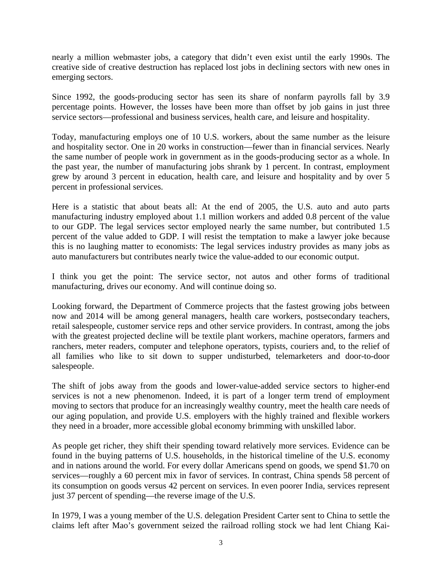nearly a million webmaster jobs, a category that didn't even exist until the early 1990s. The creative side of creative destruction has replaced lost jobs in declining sectors with new ones in emerging sectors.

Since 1992, the goods-producing sector has seen its share of nonfarm payrolls fall by 3.9 percentage points. However, the losses have been more than offset by job gains in just three service sectors—professional and business services, health care, and leisure and hospitality.

Today, manufacturing employs one of 10 U.S. workers, about the same number as the leisure and hospitality sector. One in 20 works in construction—fewer than in financial services. Nearly the same number of people work in government as in the goods-producing sector as a whole. In the past year, the number of manufacturing jobs shrank by 1 percent. In contrast, employment grew by around 3 percent in education, health care, and leisure and hospitality and by over 5 percent in professional services.

Here is a statistic that about beats all: At the end of 2005, the U.S. auto and auto parts manufacturing industry employed about 1.1 million workers and added 0.8 percent of the value to our GDP. The legal services sector employed nearly the same number, but contributed 1.5 percent of the value added to GDP. I will resist the temptation to make a lawyer joke because this is no laughing matter to economists: The legal services industry provides as many jobs as auto manufacturers but contributes nearly twice the value-added to our economic output.

I think you get the point: The service sector, not autos and other forms of traditional manufacturing, drives our economy. And will continue doing so.

Looking forward, the Department of Commerce projects that the fastest growing jobs between now and 2014 will be among general managers, health care workers, postsecondary teachers, retail salespeople, customer service reps and other service providers. In contrast, among the jobs with the greatest projected decline will be textile plant workers, machine operators, farmers and ranchers, meter readers, computer and telephone operators, typists, couriers and, to the relief of all families who like to sit down to supper undisturbed, telemarketers and door-to-door salespeople.

The shift of jobs away from the goods and lower-value-added service sectors to higher-end services is not a new phenomenon. Indeed, it is part of a longer term trend of employment moving to sectors that produce for an increasingly wealthy country, meet the health care needs of our aging population, and provide U.S. employers with the highly trained and flexible workers they need in a broader, more accessible global economy brimming with unskilled labor.

As people get richer, they shift their spending toward relatively more services. Evidence can be found in the buying patterns of U.S. households, in the historical timeline of the U.S. economy and in nations around the world. For every dollar Americans spend on goods, we spend \$1.70 on services—roughly a 60 percent mix in favor of services. In contrast, China spends 58 percent of its consumption on goods versus 42 percent on services. In even poorer India, services represent just 37 percent of spending—the reverse image of the U.S.

In 1979, I was a young member of the U.S. delegation President Carter sent to China to settle the claims left after Mao's government seized the railroad rolling stock we had lent Chiang Kai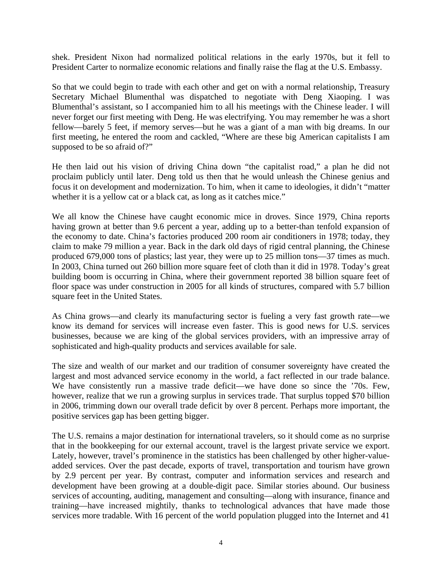shek. President Nixon had normalized political relations in the early 1970s, but it fell to President Carter to normalize economic relations and finally raise the flag at the U.S. Embassy.

So that we could begin to trade with each other and get on with a normal relationship, Treasury Secretary Michael Blumenthal was dispatched to negotiate with Deng Xiaoping. I was Blumenthal's assistant, so I accompanied him to all his meetings with the Chinese leader. I will never forget our first meeting with Deng. He was electrifying. You may remember he was a short fellow—barely 5 feet, if memory serves—but he was a giant of a man with big dreams. In our first meeting, he entered the room and cackled, "Where are these big American capitalists I am supposed to be so afraid of?"

He then laid out his vision of driving China down "the capitalist road," a plan he did not proclaim publicly until later. Deng told us then that he would unleash the Chinese genius and focus it on development and modernization. To him, when it came to ideologies, it didn't "matter whether it is a yellow cat or a black cat, as long as it catches mice."

We all know the Chinese have caught economic mice in droves. Since 1979, China reports having grown at better than 9.6 percent a year, adding up to a better-than tenfold expansion of the economy to date. China's factories produced 200 room air conditioners in 1978; today, they claim to make 79 million a year. Back in the dark old days of rigid central planning, the Chinese produced 679,000 tons of plastics; last year, they were up to 25 million tons—37 times as much. In 2003, China turned out 260 billion more square feet of cloth than it did in 1978. Today's great building boom is occurring in China, where their government reported 38 billion square feet of floor space was under construction in 2005 for all kinds of structures, compared with 5.7 billion square feet in the United States.

As China grows—and clearly its manufacturing sector is fueling a very fast growth rate—we know its demand for services will increase even faster. This is good news for U.S. services businesses, because we are king of the global services providers, with an impressive array of sophisticated and high-quality products and services available for sale.

The size and wealth of our market and our tradition of consumer sovereignty have created the largest and most advanced service economy in the world, a fact reflected in our trade balance. We have consistently run a massive trade deficit—we have done so since the '70s. Few, however, realize that we run a growing surplus in services trade. That surplus topped \$70 billion in 2006, trimming down our overall trade deficit by over 8 percent. Perhaps more important, the positive services gap has been getting bigger.

The U.S. remains a major destination for international travelers, so it should come as no surprise that in the bookkeeping for our external account, travel is the largest private service we export. Lately, however, travel's prominence in the statistics has been challenged by other higher-valueadded services. Over the past decade, exports of travel, transportation and tourism have grown by 2.9 percent per year. By contrast, computer and information services and research and development have been growing at a double-digit pace. Similar stories abound. Our business services of accounting, auditing, management and consulting—along with insurance, finance and training—have increased mightily, thanks to technological advances that have made those services more tradable. With 16 percent of the world population plugged into the Internet and 41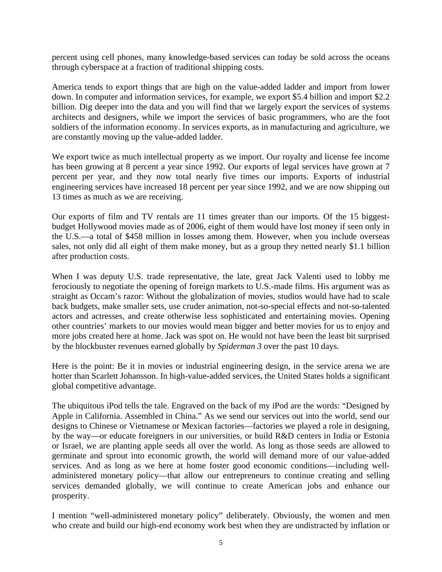percent using cell phones, many knowledge-based services can today be sold across the oceans through cyberspace at a fraction of traditional shipping costs.

America tends to export things that are high on the value-added ladder and import from lower down. In computer and information services, for example, we export \$5.4 billion and import \$2.2 billion. Dig deeper into the data and you will find that we largely export the services of systems architects and designers, while we import the services of basic programmers, who are the foot soldiers of the information economy. In services exports, as in manufacturing and agriculture, we are constantly moving up the value-added ladder.

We export twice as much intellectual property as we import. Our royalty and license fee income has been growing at 8 percent a year since 1992. Our exports of legal services have grown at 7 percent per year, and they now total nearly five times our imports. Exports of industrial engineering services have increased 18 percent per year since 1992, and we are now shipping out 13 times as much as we are receiving.

Our exports of film and TV rentals are 11 times greater than our imports. Of the 15 biggestbudget Hollywood movies made as of 2006, eight of them would have lost money if seen only in the U.S.—a total of \$458 million in losses among them. However, when you include overseas sales, not only did all eight of them make money, but as a group they netted nearly \$1.1 billion after production costs.

When I was deputy U.S. trade representative, the late, great Jack Valenti used to lobby me ferociously to negotiate the opening of foreign markets to U.S.-made films. His argument was as straight as Occam's razor: Without the globalization of movies, studios would have had to scale back budgets, make smaller sets, use cruder animation, not-so-special effects and not-so-talented actors and actresses, and create otherwise less sophisticated and entertaining movies. Opening other countries' markets to our movies would mean bigger and better movies for us to enjoy and more jobs created here at home. Jack was spot on. He would not have been the least bit surprised by the blockbuster revenues earned globally by *Spiderman 3* over the past 10 days.

Here is the point: Be it in movies or industrial engineering design, in the service arena we are hotter than Scarlett Johansson. In high-value-added services, the United States holds a significant global competitive advantage.

The ubiquitous iPod tells the tale. Engraved on the back of my iPod are the words: "Designed by Apple in California. Assembled in China." As we send our services out into the world, send our designs to Chinese or Vietnamese or Mexican factories—factories we played a role in designing, by the way—or educate foreigners in our universities, or build R&D centers in India or Estonia or Israel, we are planting apple seeds all over the world. As long as those seeds are allowed to germinate and sprout into economic growth, the world will demand more of our value-added services. And as long as we here at home foster good economic conditions—including welladministered monetary policy—that allow our entrepreneurs to continue creating and selling services demanded globally, we will continue to create American jobs and enhance our prosperity.

I mention "well-administered monetary policy" deliberately. Obviously, the women and men who create and build our high-end economy work best when they are undistracted by inflation or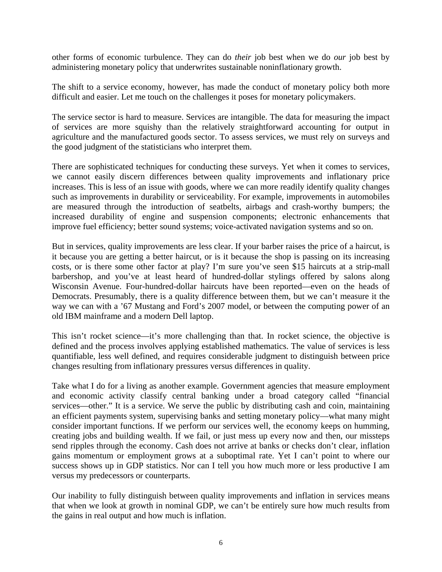other forms of economic turbulence. They can do *their* job best when we do *our* job best by administering monetary policy that underwrites sustainable noninflationary growth.

The shift to a service economy, however, has made the conduct of monetary policy both more difficult and easier. Let me touch on the challenges it poses for monetary policymakers.

The service sector is hard to measure. Services are intangible. The data for measuring the impact of services are more squishy than the relatively straightforward accounting for output in agriculture and the manufactured goods sector. To assess services, we must rely on surveys and the good judgment of the statisticians who interpret them.

There are sophisticated techniques for conducting these surveys. Yet when it comes to services, we cannot easily discern differences between quality improvements and inflationary price increases. This is less of an issue with goods, where we can more readily identify quality changes such as improvements in durability or serviceability. For example, improvements in automobiles are measured through the introduction of seatbelts, airbags and crash-worthy bumpers; the increased durability of engine and suspension components; electronic enhancements that improve fuel efficiency; better sound systems; voice-activated navigation systems and so on.

But in services, quality improvements are less clear. If your barber raises the price of a haircut, is it because you are getting a better haircut, or is it because the shop is passing on its increasing costs, or is there some other factor at play? I'm sure you've seen \$15 haircuts at a strip-mall barbershop, and you've at least heard of hundred-dollar stylings offered by salons along Wisconsin Avenue. Four-hundred-dollar haircuts have been reported—even on the heads of Democrats. Presumably, there is a quality difference between them, but we can't measure it the way we can with a '67 Mustang and Ford's 2007 model, or between the computing power of an old IBM mainframe and a modern Dell laptop.

This isn't rocket science—it's more challenging than that. In rocket science, the objective is defined and the process involves applying established mathematics. The value of services is less quantifiable, less well defined, and requires considerable judgment to distinguish between price changes resulting from inflationary pressures versus differences in quality.

Take what I do for a living as another example. Government agencies that measure employment and economic activity classify central banking under a broad category called "financial services—other." It is a service. We serve the public by distributing cash and coin, maintaining an efficient payments system, supervising banks and setting monetary policy—what many might consider important functions. If we perform our services well, the economy keeps on humming, creating jobs and building wealth. If we fail, or just mess up every now and then, our missteps send ripples through the economy. Cash does not arrive at banks or checks don't clear, inflation gains momentum or employment grows at a suboptimal rate. Yet I can't point to where our success shows up in GDP statistics. Nor can I tell you how much more or less productive I am versus my predecessors or counterparts.

Our inability to fully distinguish between quality improvements and inflation in services means that when we look at growth in nominal GDP, we can't be entirely sure how much results from the gains in real output and how much is inflation.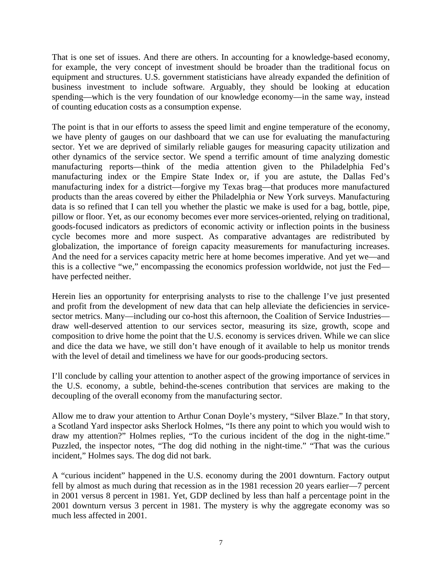That is one set of issues. And there are others. In accounting for a knowledge-based economy, for example, the very concept of investment should be broader than the traditional focus on equipment and structures. U.S. government statisticians have already expanded the definition of business investment to include software. Arguably, they should be looking at education spending—which is the very foundation of our knowledge economy—in the same way, instead of counting education costs as a consumption expense.

The point is that in our efforts to assess the speed limit and engine temperature of the economy, we have plenty of gauges on our dashboard that we can use for evaluating the manufacturing sector. Yet we are deprived of similarly reliable gauges for measuring capacity utilization and other dynamics of the service sector. We spend a terrific amount of time analyzing domestic manufacturing reports—think of the media attention given to the Philadelphia Fed's manufacturing index or the Empire State Index or, if you are astute, the Dallas Fed's manufacturing index for a district—forgive my Texas brag—that produces more manufactured products than the areas covered by either the Philadelphia or New York surveys. Manufacturing data is so refined that I can tell you whether the plastic we make is used for a bag, bottle, pipe, pillow or floor. Yet, as our economy becomes ever more services-oriented, relying on traditional, goods-focused indicators as predictors of economic activity or inflection points in the business cycle becomes more and more suspect. As comparative advantages are redistributed by globalization, the importance of foreign capacity measurements for manufacturing increases. And the need for a services capacity metric here at home becomes imperative. And yet we—and this is a collective "we," encompassing the economics profession worldwide, not just the Fed have perfected neither.

Herein lies an opportunity for enterprising analysts to rise to the challenge I've just presented and profit from the development of new data that can help alleviate the deficiencies in servicesector metrics. Many—including our co-host this afternoon, the Coalition of Service Industries draw well-deserved attention to our services sector, measuring its size, growth, scope and composition to drive home the point that the U.S. economy is services driven. While we can slice and dice the data we have, we still don't have enough of it available to help us monitor trends with the level of detail and timeliness we have for our goods-producing sectors.

I'll conclude by calling your attention to another aspect of the growing importance of services in the U.S. economy, a subtle, behind-the-scenes contribution that services are making to the decoupling of the overall economy from the manufacturing sector.

Allow me to draw your attention to Arthur Conan Doyle's mystery, "Silver Blaze." In that story, a Scotland Yard inspector asks Sherlock Holmes, "Is there any point to which you would wish to draw my attention?" Holmes replies, "To the curious incident of the dog in the night-time." Puzzled, the inspector notes, "The dog did nothing in the night-time." "That was the curious incident," Holmes says. The dog did not bark.

A "curious incident" happened in the U.S. economy during the 2001 downturn. Factory output fell by almost as much during that recession as in the 1981 recession 20 years earlier—7 percent in 2001 versus 8 percent in 1981. Yet, GDP declined by less than half a percentage point in the 2001 downturn versus 3 percent in 1981. The mystery is why the aggregate economy was so much less affected in 2001.